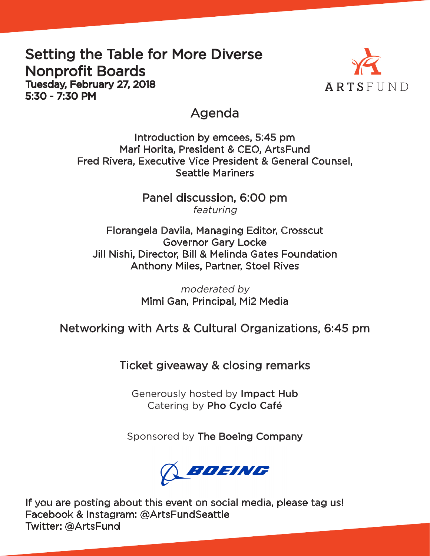### Setting the Table for More Diverse Nonprofit Boards Tuesday, February 27, 2018 5:30 - 7:30 PM



### Agenda

Introduction by emcees, 5:45 pm Mari Horita, President & CEO, ArtsFund Fred Rivera, Executive Vice President & General Counsel, Seattle Mariners

> Panel discussion, 6:00 pm featuring

Florangela Davila, Managing Editor, Crosscut Governor Gary Locke Jill Nishi, Director, Bill & Melinda Gates Foundation Anthony Miles, Partner, Stoel Rives

> moderated by Mimi Gan, Principal, Mi2 Media

Networking with Arts & Cultural Organizations, 6:45 pm

Ticket giveaway & closing remarks

Generously hosted by Impact Hub Catering by Pho Cyclo Café

Sponsored by The Boeing Company



If you are posting about this event on social media, please tag us! Facebook & Instagram: @ArtsFundSeattle Twitter: @ArtsFund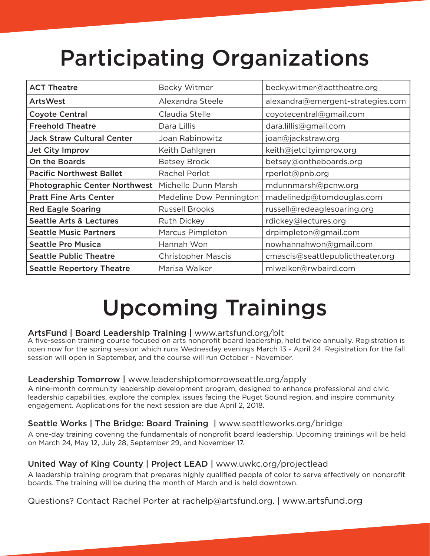# Participating Organizations

| <b>ACT Theatre</b>                   | <b>Becky Witmer</b>       | becky.witmer@acttheatre.org       |
|--------------------------------------|---------------------------|-----------------------------------|
| <b>ArtsWest</b>                      | Alexandra Steele          | alexandra@emergent-strategies.com |
| <b>Coyote Central</b>                | Claudia Stelle            | coyotecentral@gmail.com           |
| <b>Freehold Theatre</b>              | Dara Lillis               | dara.lillis@gmail.com             |
| <b>Jack Straw Cultural Center</b>    | Joan Rabinowitz           | joan@jackstraw.org                |
| <b>Jet City Improv</b>               | Keith Dahlgren            | keith@jetcityimprov.org           |
| <b>On the Boards</b>                 | <b>Betsey Brock</b>       | betsey@ontheboards.org            |
| <b>Pacific Northwest Ballet</b>      | Rachel Perlot             | rperlot@pnb.org                   |
| <b>Photographic Center Northwest</b> | Michelle Dunn Marsh       | mdunnmarsh@pcnw.org               |
| <b>Pratt Fine Arts Center</b>        | Madeline Dow Pennington   | madelinedp@tomdouglas.com         |
| <b>Red Eagle Soaring</b>             | <b>Russell Brooks</b>     | russell@redeaglesoaring.org       |
| <b>Seattle Arts &amp; Lectures</b>   | <b>Ruth Dickey</b>        | rdickey@lectures.org              |
| <b>Seattle Music Partners</b>        | <b>Marcus Pimpleton</b>   | drpimpleton@gmail.com             |
| <b>Seattle Pro Musica</b>            | Hannah Won                | nowhannahwon@gmail.com            |
| <b>Seattle Public Theatre</b>        | <b>Christopher Mascis</b> | cmascis@seattlepublictheater.org  |
| <b>Seattle Repertory Theatre</b>     | Marisa Walker             | mlwalker@rwbaird.com              |

## Upcoming Trainings

#### ArtsFund | Board Leadership Training | www.artsfund.org/blt

A five-session training course focused on arts nonprofit board leadership, held twice annually. Registration is open now for the spring session which runs Wednesday evenings March 13 - April 24. Registration for the fall session will open in September, and the course will run October - November.

#### Leadership Tomorrow | www.leadershiptomorrowseattle.org/apply

A nine-month community leadership development program, designed to enhance professional and civic leadership capabilities, explore the complex issues facing the Puget Sound region, and inspire community engagement. Applications for the next session are due April 2, 2018.

#### Seattle Works | The Bridge: Board Training | www.seattleworks.org/bridge

A one-day training covering the fundamentals of nonprofit board leadership. Upcoming trainings will be held on March 24, May 12, July 28, September 29, and November 17.

#### United Way of King County | Project LEAD | www.uwkc.org/projectlead

A leadership training program that prepares highly qualified people of color to serve effectively on nonprofit boards. The training will be during the month of March and is held downtown.

Questions? Contact Rachel Porter at rachelp@artsfund.org. | www.artsfund.org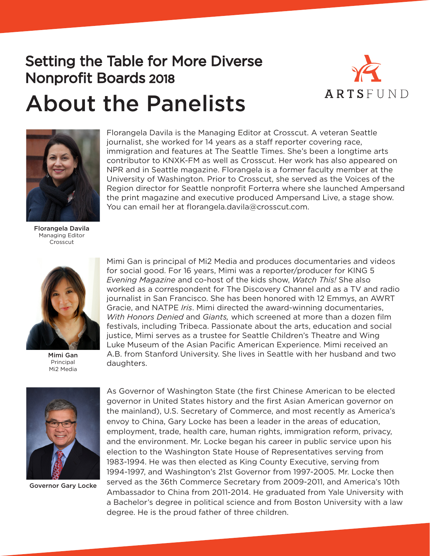### Setting the Table for More Diverse Nonprofit Boards 2018



# About the Panelists



Florangela Davila is the Managing Editor at Crosscut. A veteran Seattle journalist, she worked for 14 years as a staff reporter covering race, immigration and features at The Seattle Times. She's been a longtime arts contributor to KNXK-FM as well as Crosscut. Her work has also appeared on NPR and in Seattle magazine. Florangela is a former faculty member at the University of Washington. Prior to Crosscut, she served as the Voices of the Region director for Seattle nonprofit Forterra where she launched Ampersand the print magazine and executive produced Ampersand Live, a stage show. You can email her at florangela.davila@crosscut.com.

Florangela Davila Managing Editor Crosscut



Mimi Gan Principal Mi2 Media

Mimi Gan is principal of Mi2 Media and produces documentaries and videos for social good. For 16 years, Mimi was a reporter/producer for KING 5 *Evening Magazine* and co-host of the kids show, *Watch This!* She also worked as a correspondent for The Discovery Channel and as a TV and radio journalist in San Francisco. She has been honored with 12 Emmys, an AWRT Gracie, and NATPE *Iris*. Mimi directed the award-winning documentaries, *With Honors Denied* and *Giants,* which screened at more than a dozen film festivals, including Tribeca. Passionate about the arts, education and social justice, Mimi serves as a trustee for Seattle Children's Theatre and Wing Luke Museum of the Asian Pacific American Experience. Mimi received an A.B. from Stanford University. She lives in Seattle with her husband and two daughters.



Governor Gary Locke

As Governor of Washington State (the first Chinese American to be elected governor in United States history and the first Asian American governor on the mainland), U.S. Secretary of Commerce, and most recently as America's envoy to China, Gary Locke has been a leader in the areas of education, employment, trade, health care, human rights, immigration reform, privacy, and the environment. Mr. Locke began his career in public service upon his election to the Washington State House of Representatives serving from 1983-1994. He was then elected as King County Executive, serving from 1994-1997, and Washington's 21st Governor from 1997-2005. Mr. Locke then served as the 36th Commerce Secretary from 2009-2011, and America's 10th Ambassador to China from 2011-2014. He graduated from Yale University with a Bachelor's degree in political science and from Boston University with a law degree. He is the proud father of three children.